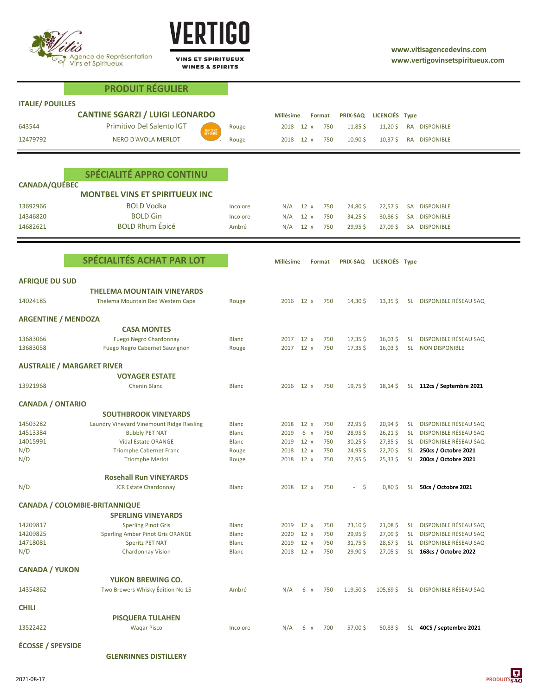



**WINES & SPIRITS** 

 **[www.vitisagencedevins.com](http://www.vitiscanada.com/)  [www.vertigovinsetspiritueux.com](http://www.vitiscanada.com/)**

|                                   | <b>PRODUIT RÉGULIER</b>                      |                              |                  |              |            |                       |                       |           |                                                  |
|-----------------------------------|----------------------------------------------|------------------------------|------------------|--------------|------------|-----------------------|-----------------------|-----------|--------------------------------------------------|
|                                   |                                              |                              |                  |              |            |                       |                       |           |                                                  |
| <b>ITALIE/ POUILLES</b>           |                                              |                              |                  |              |            |                       |                       |           |                                                  |
|                                   | <b>CANTINE SGARZI / LUIGI LEONARDO</b>       |                              | <b>Millésime</b> |              | Format     | <b>PRIX-SAQ</b>       | LICENCIÉS Type        |           |                                                  |
| 643544                            | Primitivo Del Salento IGT                    | Rouge                        | 2018 12 x        |              | 750        | $11,85$ \$            | $11,20$ \$            |           | RA DISPONIBLE                                    |
| 12479792                          | FRUITÉ ET<br>GÉNÉREUX<br>NERO D'AVOLA MERLOT | Rouge                        | 2018             | 12 x         | 750        | $10,90\frac{2}{3}$    | $10,37\frac{2}{5}$    |           | RA DISPONIBLE                                    |
|                                   |                                              |                              |                  |              |            |                       |                       |           |                                                  |
|                                   |                                              |                              |                  |              |            |                       |                       |           |                                                  |
|                                   |                                              |                              |                  |              |            |                       |                       |           |                                                  |
|                                   | SPÉCIALITÉ APPRO CONTINU                     |                              |                  |              |            |                       |                       |           |                                                  |
| <b>CANADA/QUÉBEC</b>              |                                              |                              |                  |              |            |                       |                       |           |                                                  |
|                                   | <b>MONTBEL VINS ET SPIRITUEUX INC</b>        |                              |                  |              |            |                       |                       |           |                                                  |
| 13692966                          | <b>BOLD Vodka</b>                            | Incolore                     | N/A              | 12 x         | 750        | 24,80\$               | $22,57$ \$            |           | SA DISPONIBLE                                    |
| 14346820                          | <b>BOLD Gin</b>                              | Incolore                     | N/A              | 12 x         | 750        | $34,25$ \$            | $30,86$ \$            | SA        | <b>DISPONIBLE</b>                                |
| 14682621                          | <b>BOLD Rhum Épicé</b>                       | Ambré                        | N/A              | 12 x         | 750        | 29,95\$               | 27,095                |           | SA DISPONIBLE                                    |
|                                   |                                              |                              |                  |              |            |                       |                       |           |                                                  |
|                                   | <b>SPÉCIALITÉS ACHAT PAR LOT</b>             |                              |                  |              |            |                       |                       |           |                                                  |
|                                   |                                              |                              | <b>Millésime</b> |              | Format     | <b>PRIX-SAQ</b>       | LICENCIÉS Type        |           |                                                  |
| <b>AFRIQUE DU SUD</b>             |                                              |                              |                  |              |            |                       |                       |           |                                                  |
|                                   | <b>THELEMA MOUNTAIN VINEYARDS</b>            |                              |                  |              |            |                       |                       |           |                                                  |
| 14024185                          | Thelema Mountain Red Western Cape            | Rouge                        | 2016 12 x        |              | 750        | 14,30\$               | 13,355                |           | SL DISPONIBLE RÉSEAU SAQ                         |
|                                   |                                              |                              |                  |              |            |                       |                       |           |                                                  |
| <b>ARGENTINE / MENDOZA</b>        |                                              |                              |                  |              |            |                       |                       |           |                                                  |
|                                   | <b>CASA MONTES</b>                           |                              |                  |              |            |                       |                       |           |                                                  |
| 13683066                          | <b>Fuego Negro Chardonnay</b>                | <b>Blanc</b>                 | 2017             | 12 x         | 750        | $17,35$ \$            | $16,03$ \$            |           | SL DISPONIBLE RÉSEAU SAQ                         |
| 13683058                          | Fuego Negro Cabernet Sauvignon               | Rouge                        | 2017 12 x        |              | 750        | $17,35$ \$            | $16,03$ \$            |           | SL NON DISPONIBLE                                |
|                                   |                                              |                              |                  |              |            |                       |                       |           |                                                  |
| <b>AUSTRALIE / MARGARET RIVER</b> | <b>VOYAGER ESTATE</b>                        |                              |                  |              |            |                       |                       |           |                                                  |
| 13921968                          | <b>Chenin Blanc</b>                          | <b>Blanc</b>                 | 2016 12 x        |              | 750        | $19,75$ \$            | 18,145                |           | SL 112cs / Septembre 2021                        |
|                                   |                                              |                              |                  |              |            |                       |                       |           |                                                  |
| <b>CANADA / ONTARIO</b>           |                                              |                              |                  |              |            |                       |                       |           |                                                  |
|                                   | <b>SOUTHBROOK VINEYARDS</b>                  |                              |                  |              |            |                       |                       |           |                                                  |
| 14503282                          | Laundry Vineyard Vinemount Ridge Riesling    | <b>Blanc</b>                 | 2018             | 12 x         | 750        | $22,95$ \$            | $20,94$ \$            | SL.       | DISPONIBLE RÉSEAU SAQ                            |
| 14513384                          | <b>Bubbly PET NAT</b>                        | <b>Blanc</b>                 | 2019             | $6 \times$   | 750        | 28,95\$               | $26,21$ \$            | <b>SL</b> | DISPONIBLE RÉSEAU SAO                            |
| 14015991                          | <b>Vidal Estate ORANGE</b>                   | <b>Blanc</b>                 | 2019             | 12 x         | 750        | $30,25$ \$            | $27,35$ \$            | <b>SL</b> | DISPONIBLE RÉSEAU SAO                            |
| N/D                               | <b>Triomphe Cabernet Franc</b>               | Rouge                        | 2018             | 12 x         | 750        | 24,95\$               | 22,70\$               | <b>SL</b> | 250cs / Octobre 2021                             |
| N/D                               | <b>Triomphe Merlot</b>                       | Rouge                        | 2018             | 12 x         | 750        | 27,95\$               | $25,33$ \$            | <b>SL</b> | 200cs / Octobre 2021                             |
|                                   | <b>Rosehall Run VINEYARDS</b>                |                              |                  |              |            |                       |                       |           |                                                  |
| N/D                               | <b>JCR Estate Chardonnav</b>                 | <b>Blanc</b>                 | 2018 12 x        |              | 750        | \$.                   | 0,805                 | <b>SL</b> | 50cs / Octobre 2021                              |
|                                   |                                              |                              |                  |              |            |                       |                       |           |                                                  |
|                                   | <b>CANADA / COLOMBIE-BRITANNIQUE</b>         |                              |                  |              |            |                       |                       |           |                                                  |
|                                   | <b>SPERLING VINEYARDS</b>                    |                              |                  |              |            |                       |                       |           |                                                  |
| 14209817                          | <b>Sperling Pinot Gris</b>                   | <b>Blanc</b>                 | 2019 12 x        |              | 750        | $23,10$ \$            | 21,085                | SL.       | DISPONIBLE RÉSEAU SAQ                            |
| 14209825                          | Sperling Amber Pinot Gris ORANGE             | <b>Blanc</b>                 | 2020             | 12 x         | 750        | 29,95\$               | 27,09\$               | <b>SL</b> | DISPONIBLE RÉSEAU SAQ                            |
| 14718081<br>N/D                   | Speritz PET NAT<br><b>Chardonnay Vision</b>  | <b>Blanc</b><br><b>Blanc</b> | 2019<br>2018     | 12 x<br>12 x | 750<br>750 | $31,75$ \$<br>29,90\$ | $28,67$ \$<br>27,05\$ | <b>SL</b> | DISPONIBLE RÉSEAU SAQ<br>SL 168cs / Octobre 2022 |
|                                   |                                              |                              |                  |              |            |                       |                       |           |                                                  |
| <b>CANADA / YUKON</b>             |                                              |                              |                  |              |            |                       |                       |           |                                                  |
|                                   | <b>YUKON BREWING CO.</b>                     |                              |                  |              |            |                       |                       |           |                                                  |
| 14354862                          | Two Brewers Whisky Édition No 15             | Ambré                        | N/A              | $6 \times$   | 750        | 119,50\$              | $105,69$ \$           |           | SL DISPONIBLE RÉSEAU SAQ                         |
|                                   |                                              |                              |                  |              |            |                       |                       |           |                                                  |
| <b>CHILI</b>                      |                                              |                              |                  |              |            |                       |                       |           |                                                  |
|                                   | <b>PISQUERA TULAHEN</b>                      |                              |                  |              |            |                       |                       |           |                                                  |
| 13522422                          | <b>Waqar Pisco</b>                           | Incolore                     | N/A              | $6 \times$   | 700        | $57,00$ \$            | $50,83$ \$            |           | SL 40CS / septembre 2021                         |
|                                   |                                              |                              |                  |              |            |                       |                       |           |                                                  |

**ÉCOSSE / SPEYSIDE**

**GLENRINNES DISTILLERY**

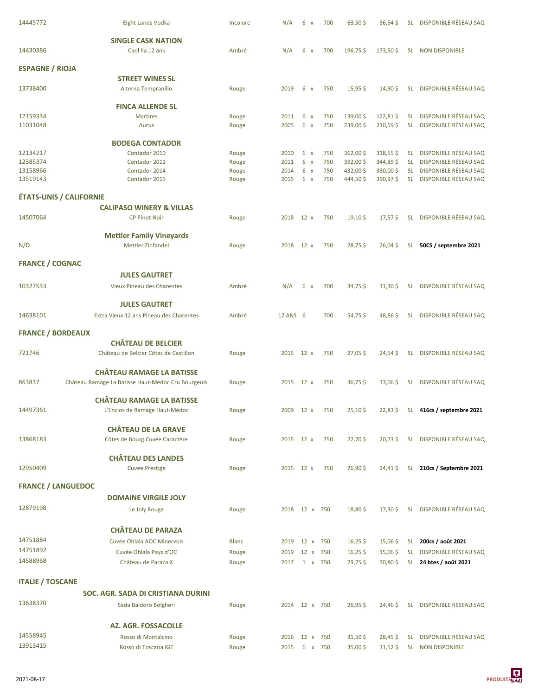| 14445772                 | <b>Eight Lands Vodka</b>                           | Incolore     | N/A           | $6 \times$                     | 700      | 63,50\$            | $56,54$ \$  | <b>SL</b> | DISPONIBLE RÉSEAU SAQ     |
|--------------------------|----------------------------------------------------|--------------|---------------|--------------------------------|----------|--------------------|-------------|-----------|---------------------------|
|                          | <b>SINGLE CASK NATION</b>                          |              |               |                                |          |                    |             |           |                           |
| 14430386                 | Caol Ila 12 ans                                    | Ambré        | N/A           | $6 \times$                     | 700      | 196,75\$           | 173,50\$    |           | SL NON DISPONIBLE         |
|                          |                                                    |              |               |                                |          |                    |             |           |                           |
| <b>ESPAGNE / RIOJA</b>   | <b>STREET WINES SL</b>                             |              |               |                                |          |                    |             |           |                           |
| 13738400                 | Alterna Tempranillo                                | Rouge        | 2019          | $6 \times$                     | 750      | $15,95$ \$         | 14,80\$     |           | SL DISPONIBLE RÉSEAU SAQ  |
|                          |                                                    |              |               |                                |          |                    |             |           |                           |
|                          | <b>FINCA ALLENDE SL</b>                            |              |               |                                |          |                    |             |           |                           |
| 12159334                 | <b>Martires</b>                                    | Rouge        | 2011          | 6<br>$\boldsymbol{\mathsf{x}}$ | 750      | 139,00\$           | 122,81\$    | <b>SL</b> | DISPONIBLE RÉSEAU SAQ     |
| 11031048                 | Aurus                                              | Rouge        | 2005          | $6 \times$                     | 750      | 239,00\$           | 210,59\$    | <b>SL</b> | DISPONIBLE RÉSEAU SAQ     |
|                          | <b>BODEGA CONTADOR</b>                             |              |               |                                |          |                    |             |           |                           |
| 12134217                 | Contador 2010                                      | Rouge        | 2010          | $6 \times$                     | 750      | 362,00\$           | $318,55$ \$ | <b>SL</b> | DISPONIBLE RÉSEAU SAQ     |
| 12385374                 | Contador 2011                                      | Rouge        | 2011          | $6 \times$                     | 750      | 392,00\$           | 344,89\$    | <b>SL</b> | DISPONIBLE RÉSEAU SAQ     |
| 13158966                 | Contador 2014                                      | Rouge        | 2014          | $6 \times$                     | 750      | 432,00\$           | 380,00\$    | <b>SL</b> | DISPONIBLE RÉSEAU SAQ     |
| 13519143                 | Contador 2015                                      | Rouge        | 2015          | $6 \times$                     | 750      | 444,50\$           | 390,97\$    | <b>SL</b> | DISPONIBLE RÉSEAU SAQ     |
|                          | <b>ÉTATS-UNIS / CALIFORNIE</b>                     |              |               |                                |          |                    |             |           |                           |
|                          |                                                    |              |               |                                |          |                    |             |           |                           |
|                          | <b>CALIPASO WINERY &amp; VILLAS</b>                |              |               |                                |          |                    |             |           | SL DISPONIBLE RÉSEAU SAQ  |
| 14507064                 | <b>CP Pinot Noir</b>                               | Rouge        | 2018          | 12 x                           | 750      | $19,10\frac{2}{3}$ | $17,57$ \$  |           |                           |
|                          | <b>Mettler Family Vineyards</b>                    |              |               |                                |          |                    |             |           |                           |
| N/D                      | <b>Mettler Zinfandel</b>                           | Rouge        | 2018          | 12 x                           | 750      | $28,75$ \$         | $26,04$ \$  | <b>SL</b> | 50CS / septembre 2021     |
|                          |                                                    |              |               |                                |          |                    |             |           |                           |
| <b>FRANCE / COGNAC</b>   |                                                    |              |               |                                |          |                    |             |           |                           |
|                          | <b>JULES GAUTRET</b>                               |              |               |                                |          |                    |             |           |                           |
| 10327533                 | Vieux Pineau des Charentes                         | Ambré        | N/A           | $6 \times$                     | 700      | 34,75\$            | 31,305      |           | SL DISPONIBLE RÉSEAU SAQ  |
|                          | <b>JULES GAUTRET</b>                               |              |               |                                |          |                    |             |           |                           |
| 14638101                 | Extra Vieux 12 ans Pineau des Charentes            | Ambré        | 12 ANS 6      |                                | 700      | 54,75\$            | 48,86\$     |           | SL DISPONIBLE RÉSEAU SAQ  |
|                          |                                                    |              |               |                                |          |                    |             |           |                           |
| <b>FRANCE / BORDEAUX</b> |                                                    |              |               |                                |          |                    |             |           |                           |
|                          | <b>CHÂTEAU DE BELCIER</b>                          |              |               |                                |          |                    |             |           |                           |
| 721746                   | Château de Belcier Côtes de Castillon              | Rouge        | 2015 12 x     |                                | 750      | 27,05\$            | $24,54$ \$  |           | SL DISPONIBLE RÉSEAU SAQ  |
|                          | <b>CHÂTEAU RAMAGE LA BATISSE</b>                   |              |               |                                |          |                    |             |           |                           |
| 863837                   | Château Ramage La Batisse Haut-Médoc Cru Bourgeois | Rouge        | 2015          | $12 \times$                    | 750      | $36,75$ \$         | 33,065      |           | SL DISPONIBLE RÉSEAU SAQ  |
|                          |                                                    |              |               |                                |          |                    |             |           |                           |
|                          | <b>CHÂTEAU RAMAGE LA BATISSE</b>                   |              |               |                                |          |                    |             |           |                           |
| 14497361                 | L'Enclos de Ramage Haut-Médoc                      | Rouge        | 2009          | 12 x                           | 750      | 25,10\$            | $22,83$ \$  | SL.       | 416cs / septembre 2021    |
|                          | <b>CHÂTEAU DE LA GRAVE</b>                         |              |               |                                |          |                    |             |           |                           |
| 13868183                 | Côtes de Bourg Cuvée Caractère                     | Rouge        | 2015          | 12 x                           | 750      | 22,70\$            | $20,73$ \$  |           | SL DISPONIBLE RÉSEAU SAQ  |
|                          |                                                    |              |               |                                |          |                    |             |           |                           |
|                          | <b>CHÂTEAU DES LANDES</b>                          |              |               |                                |          |                    |             |           |                           |
| 12950409                 | <b>Cuvée Prestige</b>                              | Rouge        | 2015          | $12 \times$                    | 750      | 26,90\$            | 24,41\$     |           | SL 210cs / Septembre 2021 |
|                          | <b>FRANCE / LANGUEDOC</b>                          |              |               |                                |          |                    |             |           |                           |
|                          | <b>DOMAINE VIRGILE JOLY</b>                        |              |               |                                |          |                    |             |           |                           |
| 12879198                 |                                                    |              |               |                                |          |                    |             |           |                           |
|                          | Le Joly Rouge                                      | Rouge        | 2018 12 x 750 |                                |          | 18,80\$            | 17,305      |           | SL DISPONIBLE RÉSEAU SAQ  |
|                          | <b>CHÂTEAU DE PARAZA</b>                           |              |               |                                |          |                    |             |           |                           |
| 14751884                 | Cuvée Ohlala AOC Minervois                         | <b>Blanc</b> | 2019          |                                | 12 x 750 | $16,25$ \$         | $15,06$ \$  | SL.       | 200cs / août 2021         |
| 14751892                 | Cuvée Ohlala Pays d'OC                             | Rouge        | 2019          |                                | 12 x 750 | $16,25$ \$         | $15,06$ \$  | <b>SL</b> | DISPONIBLE RÉSEAU SAQ     |
| 14588968                 |                                                    |              |               |                                |          |                    |             |           |                           |
|                          | Château de Paraza X                                | Rouge        | 2017          |                                | 1 x 750  | 79,75\$            | 70,80\$     |           | SL 24 btes / août 2021    |
| <b>ITALIE / TOSCANE</b>  |                                                    |              |               |                                |          |                    |             |           |                           |
|                          | SOC. AGR. SADA DI CRISTIANA DURINI                 |              |               |                                |          |                    |             |           |                           |
| 13638370                 | Sada Baldoro Bolgheri                              | Rouge        | 2014 12 x 750 |                                |          | $26,95$ \$         | 24,46\$     |           | SL DISPONIBLE RÉSEAU SAQ  |
|                          |                                                    |              |               |                                |          |                    |             |           |                           |
|                          | <b>AZ. AGR. FOSSACOLLE</b>                         |              |               |                                |          |                    |             |           |                           |
| 14558945                 | Rosso di Montalcino                                | Rouge        | 2016          |                                | 12 x 750 | $31,50$ \$         | 28,45\$     | SL.       | DISPONIBLE RÉSEAU SAQ     |
| 13913415                 | Rosso di Toscana IGT                               | Rouge        | 2015          |                                | 6 x 750  | $35,00$ \$         | $31,52$ \$  |           | SL NON DISPONIBLE         |
|                          |                                                    |              |               |                                |          |                    |             |           |                           |

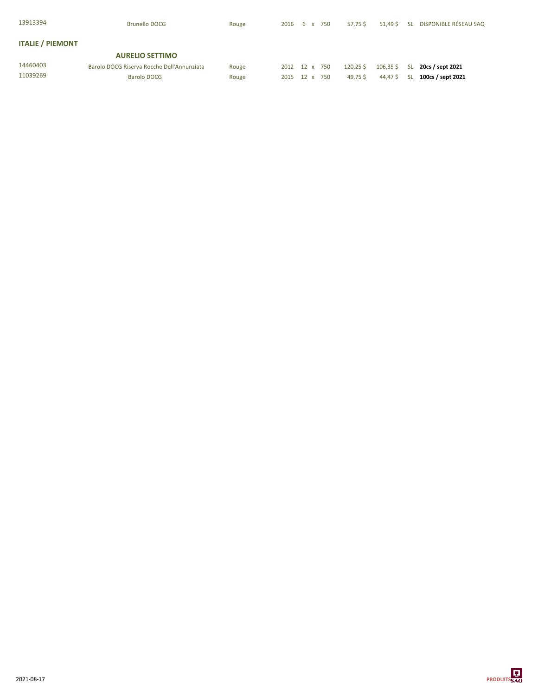| 13913394                | <b>Brunello DOCG</b>                       | Rouge |  | 2016 6 x 750  | 57.75 \$    |             |           | 51,49 \$ SL DISPONIBLE RÉSEAU SAQ |
|-------------------------|--------------------------------------------|-------|--|---------------|-------------|-------------|-----------|-----------------------------------|
| <b>ITALIE / PIEMONT</b> |                                            |       |  |               |             |             |           |                                   |
|                         | <b>AURELIO SETTIMO</b>                     |       |  |               |             |             |           |                                   |
| 14460403                | Barolo DOCG Riserva Rocche Dell'Annunziata | Rouge |  | 2012 12 x 750 | $120,25$ \$ | $106,35$ \$ | <b>SL</b> | 20cs / sept 2021                  |
| 11039269                | <b>Barolo DOCG</b>                         | Rouge |  | 2015 12 x 750 | 49.75\$     | 44,47\$     | -SL       | 100cs / sept 2021                 |